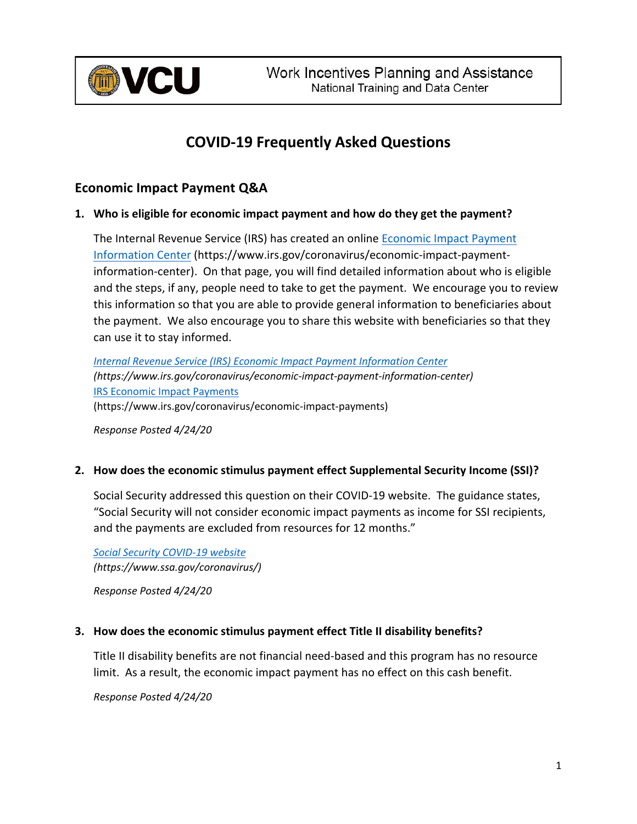

# **COVID-19 Frequently Asked Questions**

## **Economic Impact Payment Q&A**

#### **1. Who is eligible for economic impact payment and how do they get the payment?**

The Internal Revenue Service (IRS) has created an online Economic Impact Payment Information Center (https://www.irs.gov/coronavirus/economic-impact-paymentinformation-center). On that page, you will find detailed information about who is eligible and the steps, if any, people need to take to get the payment. We encourage you to review this information so that you are able to provide general information to beneficiaries about the payment. We also encourage you to share this website with beneficiaries so that they can use it to stay informed.

*Internal Revenue Service (IRS) Economic Impact Payment Information Center (https://www.irs.gov/coronavirus/economic-impact-payment-information-center)* IRS Economic Impact Payments (https://www.irs.gov/coronavirus/economic-impact-payments)

*Response Posted 4/24/20*

#### **2. How does the economic stimulus payment effect Supplemental Security Income (SSI)?**

Social Security addressed this question on their COVID-19 website. The guidance states, "Social Security will not consider economic impact payments as income for SSI recipients, and the payments are excluded from resources for 12 months."

*Social Security COVID-19 website (https://www.ssa.gov/coronavirus/)*

*Response Posted 4/24/20*

#### **3. How does the economic stimulus payment effect Title II disability benefits?**

Title II disability benefits are not financial need-based and this program has no resource limit. As a result, the economic impact payment has no effect on this cash benefit.

*Response Posted 4/24/20*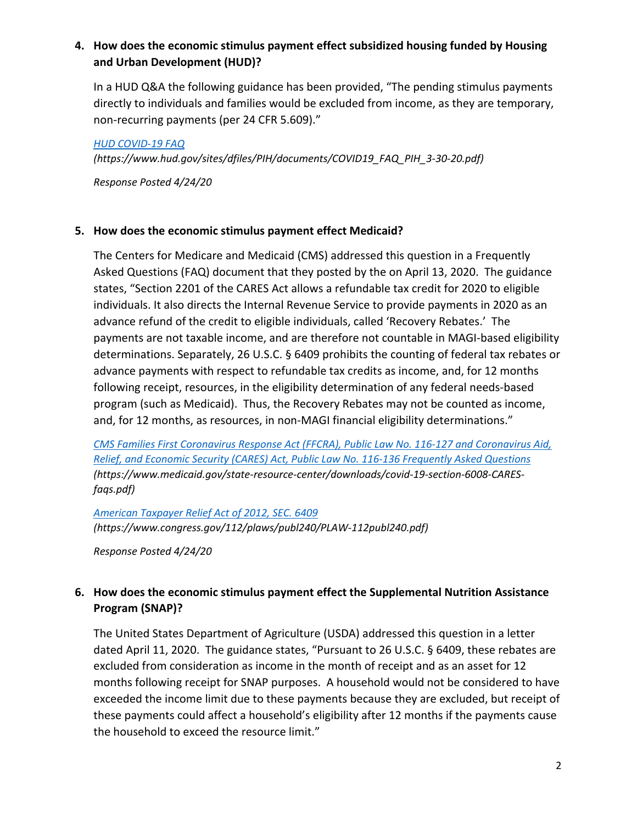## **4. How does the economic stimulus payment effect subsidized housing funded by Housing and Urban Development (HUD)?**

In a HUD Q&A the following guidance has been provided, "The pending stimulus payments directly to individuals and families would be excluded from income, as they are temporary, non-recurring payments (per 24 CFR 5.609)."

*HUD COVID-19 FAQ (https://www.hud.gov/sites/dfiles/PIH/documents/COVID19\_FAQ\_PIH\_3-30-20.pdf)*

*Response Posted 4/24/20*

#### **5. How does the economic stimulus payment effect Medicaid?**

The Centers for Medicare and Medicaid (CMS) addressed this question in a Frequently Asked Questions (FAQ) document that they posted by the on April 13, 2020. The guidance states, "Section 2201 of the CARES Act allows a refundable tax credit for 2020 to eligible individuals. It also directs the Internal Revenue Service to provide payments in 2020 as an advance refund of the credit to eligible individuals, called 'Recovery Rebates.' The payments are not taxable income, and are therefore not countable in MAGI-based eligibility determinations. Separately, 26 U.S.C. § 6409 prohibits the counting of federal tax rebates or advance payments with respect to refundable tax credits as income, and, for 12 months following receipt, resources, in the eligibility determination of any federal needs-based program (such as Medicaid). Thus, the Recovery Rebates may not be counted as income, and, for 12 months, as resources, in non-MAGI financial eligibility determinations."

*CMS Families First Coronavirus Response Act (FFCRA), Public Law No. 116-127 and Coronavirus Aid, Relief, and Economic Security (CARES) Act, Public Law No. 116-136 Frequently Asked Questions (https://www.medicaid.gov/state-resource-center/downloads/covid-19-section-6008-CARESfaqs.pdf)*

*American Taxpayer Relief Act of 2012, SEC. 6409 (https://www.congress.gov/112/plaws/publ240/PLAW-112publ240.pdf)*

*Response Posted 4/24/20*

## **6. How does the economic stimulus payment effect the Supplemental Nutrition Assistance Program (SNAP)?**

The United States Department of Agriculture (USDA) addressed this question in a letter dated April 11, 2020. The guidance states, "Pursuant to 26 U.S.C. § 6409, these rebates are excluded from consideration as income in the month of receipt and as an asset for 12 months following receipt for SNAP purposes. A household would not be considered to have exceeded the income limit due to these payments because they are excluded, but receipt of these payments could affect a household's eligibility after 12 months if the payments cause the household to exceed the resource limit."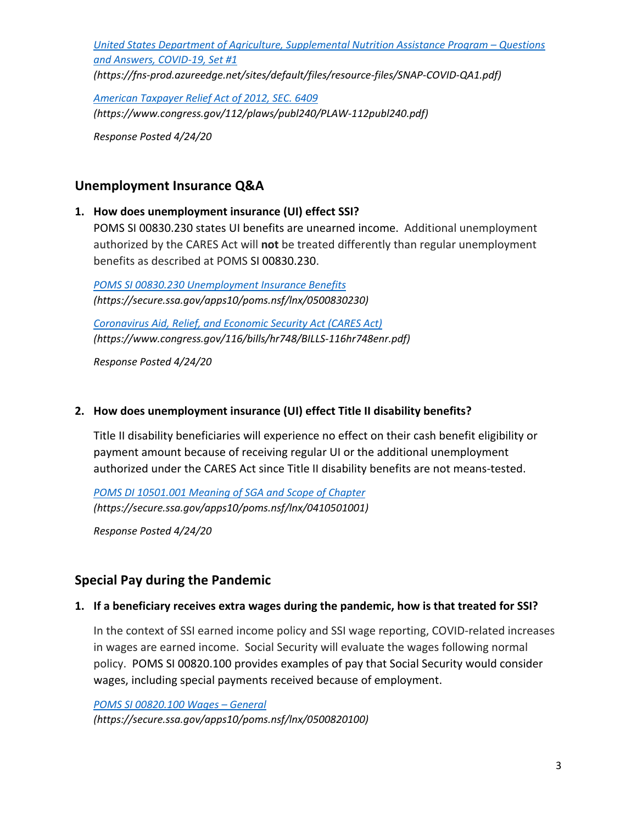*United States Department of Agriculture, Supplemental Nutrition Assistance Program – Questions and Answers, COVID-19, Set #1*

*(https://fns-prod.azureedge.net/sites/default/files/resource-files/SNAP-COVID-QA1.pdf)*

*American Taxpayer Relief Act of 2012, SEC. 6409 (https://www.congress.gov/112/plaws/publ240/PLAW-112publ240.pdf)*

*Response Posted 4/24/20*

## **Unemployment Insurance Q&A**

#### **1. How does unemployment insurance (UI) effect SSI?**

POMS SI 00830.230 states UI benefits are unearned income. Additional unemployment authorized by the CARES Act will **not** be treated differently than regular unemployment benefits as described at POMS SI 00830.230.

*POMS SI 00830.230 Unemployment Insurance Benefits (https://secure.ssa.gov/apps10/poms.nsf/lnx/0500830230)*

*Coronavirus Aid, Relief, and Economic Security Act (CARES Act) (https://www.congress.gov/116/bills/hr748/BILLS-116hr748enr.pdf)* 

*Response Posted 4/24/20*

#### **2. How does unemployment insurance (UI) effect Title II disability benefits?**

Title II disability beneficiaries will experience no effect on their cash benefit eligibility or payment amount because of receiving regular UI or the additional unemployment authorized under the CARES Act since Title II disability benefits are not means-tested.

*POMS DI 10501.001 Meaning of SGA and Scope of Chapter (https://secure.ssa.gov/apps10/poms.nsf/lnx/0410501001)*

*Response Posted 4/24/20*

# **Special Pay during the Pandemic**

#### **1. If a beneficiary receives extra wages during the pandemic, how is that treated for SSI?**

In the context of SSI earned income policy and SSI wage reporting, COVID-related increases in wages are earned income. Social Security will evaluate the wages following normal policy. POMS SI 00820.100 provides examples of pay that Social Security would consider wages, including special payments received because of employment.

*POMS SI 00820.100 Wages – General (https://secure.ssa.gov/apps10/poms.nsf/lnx/0500820100)*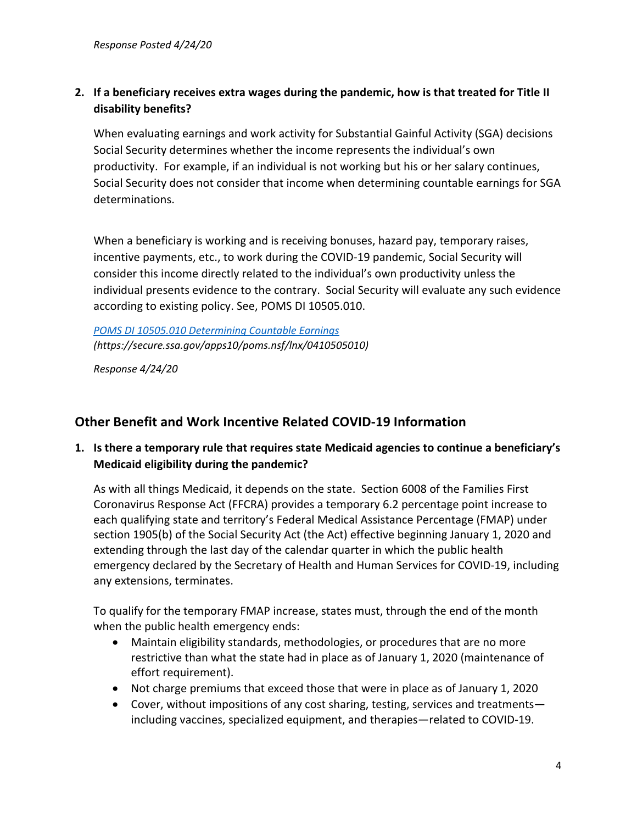## **2. If a beneficiary receives extra wages during the pandemic, how is that treated for Title II disability benefits?**

When evaluating earnings and work activity for Substantial Gainful Activity (SGA) decisions Social Security determines whether the income represents the individual's own productivity. For example, if an individual is not working but his or her salary continues, Social Security does not consider that income when determining countable earnings for SGA determinations.

When a beneficiary is working and is receiving bonuses, hazard pay, temporary raises, incentive payments, etc., to work during the COVID-19 pandemic, Social Security will consider this income directly related to the individual's own productivity unless the individual presents evidence to the contrary. Social Security will evaluate any such evidence according to existing policy. See, POMS DI 10505.010.

*POMS DI 10505.010 Determining Countable Earnings (https://secure.ssa.gov/apps10/poms.nsf/lnx/0410505010)*

*Response 4/24/20*

# **Other Benefit and Work Incentive Related COVID-19 Information**

### **1. Is there a temporary rule that requires state Medicaid agencies to continue a beneficiary's Medicaid eligibility during the pandemic?**

As with all things Medicaid, it depends on the state. Section 6008 of the Families First Coronavirus Response Act (FFCRA) provides a temporary 6.2 percentage point increase to each qualifying state and territory's Federal Medical Assistance Percentage (FMAP) under section 1905(b) of the Social Security Act (the Act) effective beginning January 1, 2020 and extending through the last day of the calendar quarter in which the public health emergency declared by the Secretary of Health and Human Services for COVID-19, including any extensions, terminates.

To qualify for the temporary FMAP increase, states must, through the end of the month when the public health emergency ends:

- Maintain eligibility standards, methodologies, or procedures that are no more restrictive than what the state had in place as of January 1, 2020 (maintenance of effort requirement).
- Not charge premiums that exceed those that were in place as of January 1, 2020
- Cover, without impositions of any cost sharing, testing, services and treatments including vaccines, specialized equipment, and therapies—related to COVID-19.